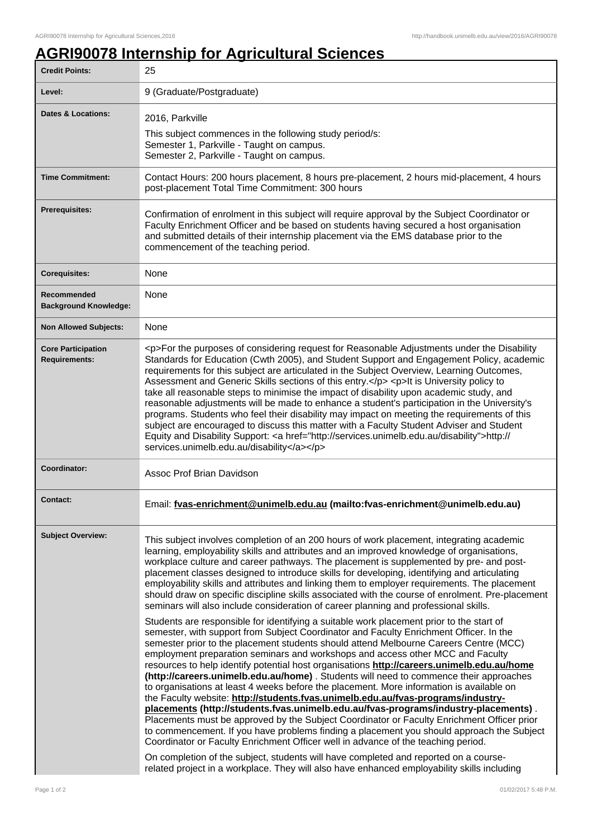## **AGRI90078 Internship for Agricultural Sciences**

| <b>Credit Points:</b>                             | 25                                                                                                                                                                                                                                                                                                                                                                                                                                                                                                                                                                                                                                                                                                                                                                                                                                                                                                                                                                                                                                                                                                                                                                                                                                                                                                                                                                                                                                                                                                                                                                                                                                                                                                                                                                                                                                                                                                                                                                                |
|---------------------------------------------------|-----------------------------------------------------------------------------------------------------------------------------------------------------------------------------------------------------------------------------------------------------------------------------------------------------------------------------------------------------------------------------------------------------------------------------------------------------------------------------------------------------------------------------------------------------------------------------------------------------------------------------------------------------------------------------------------------------------------------------------------------------------------------------------------------------------------------------------------------------------------------------------------------------------------------------------------------------------------------------------------------------------------------------------------------------------------------------------------------------------------------------------------------------------------------------------------------------------------------------------------------------------------------------------------------------------------------------------------------------------------------------------------------------------------------------------------------------------------------------------------------------------------------------------------------------------------------------------------------------------------------------------------------------------------------------------------------------------------------------------------------------------------------------------------------------------------------------------------------------------------------------------------------------------------------------------------------------------------------------------|
| Level:                                            | 9 (Graduate/Postgraduate)                                                                                                                                                                                                                                                                                                                                                                                                                                                                                                                                                                                                                                                                                                                                                                                                                                                                                                                                                                                                                                                                                                                                                                                                                                                                                                                                                                                                                                                                                                                                                                                                                                                                                                                                                                                                                                                                                                                                                         |
| <b>Dates &amp; Locations:</b>                     | 2016, Parkville<br>This subject commences in the following study period/s:<br>Semester 1, Parkville - Taught on campus.<br>Semester 2, Parkville - Taught on campus.                                                                                                                                                                                                                                                                                                                                                                                                                                                                                                                                                                                                                                                                                                                                                                                                                                                                                                                                                                                                                                                                                                                                                                                                                                                                                                                                                                                                                                                                                                                                                                                                                                                                                                                                                                                                              |
| <b>Time Commitment:</b>                           | Contact Hours: 200 hours placement, 8 hours pre-placement, 2 hours mid-placement, 4 hours<br>post-placement Total Time Commitment: 300 hours                                                                                                                                                                                                                                                                                                                                                                                                                                                                                                                                                                                                                                                                                                                                                                                                                                                                                                                                                                                                                                                                                                                                                                                                                                                                                                                                                                                                                                                                                                                                                                                                                                                                                                                                                                                                                                      |
| <b>Prerequisites:</b>                             | Confirmation of enrolment in this subject will require approval by the Subject Coordinator or<br>Faculty Enrichment Officer and be based on students having secured a host organisation<br>and submitted details of their internship placement via the EMS database prior to the<br>commencement of the teaching period.                                                                                                                                                                                                                                                                                                                                                                                                                                                                                                                                                                                                                                                                                                                                                                                                                                                                                                                                                                                                                                                                                                                                                                                                                                                                                                                                                                                                                                                                                                                                                                                                                                                          |
| <b>Corequisites:</b>                              | None                                                                                                                                                                                                                                                                                                                                                                                                                                                                                                                                                                                                                                                                                                                                                                                                                                                                                                                                                                                                                                                                                                                                                                                                                                                                                                                                                                                                                                                                                                                                                                                                                                                                                                                                                                                                                                                                                                                                                                              |
| Recommended<br><b>Background Knowledge:</b>       | None                                                                                                                                                                                                                                                                                                                                                                                                                                                                                                                                                                                                                                                                                                                                                                                                                                                                                                                                                                                                                                                                                                                                                                                                                                                                                                                                                                                                                                                                                                                                                                                                                                                                                                                                                                                                                                                                                                                                                                              |
| <b>Non Allowed Subjects:</b>                      | <b>None</b>                                                                                                                                                                                                                                                                                                                                                                                                                                                                                                                                                                                                                                                                                                                                                                                                                                                                                                                                                                                                                                                                                                                                                                                                                                                                                                                                                                                                                                                                                                                                                                                                                                                                                                                                                                                                                                                                                                                                                                       |
| <b>Core Participation</b><br><b>Requirements:</b> | <p>For the purposes of considering request for Reasonable Adjustments under the Disability<br/>Standards for Education (Cwth 2005), and Student Support and Engagement Policy, academic<br/>requirements for this subject are articulated in the Subject Overview, Learning Outcomes,<br/>Assessment and Generic Skills sections of this entry.</p> <p>It is University policy to<br/>take all reasonable steps to minimise the impact of disability upon academic study, and<br/>reasonable adjustments will be made to enhance a student's participation in the University's<br/>programs. Students who feel their disability may impact on meeting the requirements of this<br/>subject are encouraged to discuss this matter with a Faculty Student Adviser and Student<br/>Equity and Disability Support: <a href="http://services.unimelb.edu.au/disability">http://<br/>services.unimelb.edu.au/disability</a></p>                                                                                                                                                                                                                                                                                                                                                                                                                                                                                                                                                                                                                                                                                                                                                                                                                                                                                                                                                                                                                                                         |
| Coordinator:                                      | <b>Assoc Prof Brian Davidson</b>                                                                                                                                                                                                                                                                                                                                                                                                                                                                                                                                                                                                                                                                                                                                                                                                                                                                                                                                                                                                                                                                                                                                                                                                                                                                                                                                                                                                                                                                                                                                                                                                                                                                                                                                                                                                                                                                                                                                                  |
| Contact:                                          | Email: fvas-enrichment@unimelb.edu.au (mailto:fvas-enrichment@unimelb.edu.au)                                                                                                                                                                                                                                                                                                                                                                                                                                                                                                                                                                                                                                                                                                                                                                                                                                                                                                                                                                                                                                                                                                                                                                                                                                                                                                                                                                                                                                                                                                                                                                                                                                                                                                                                                                                                                                                                                                     |
| <b>Subject Overview:</b>                          | This subject involves completion of an 200 hours of work placement, integrating academic<br>learning, employability skills and attributes and an improved knowledge of organisations,<br>workplace culture and career pathways. The placement is supplemented by pre- and post-<br>placement classes designed to introduce skills for developing, identifying and articulating<br>employability skills and attributes and linking them to employer requirements. The placement<br>should draw on specific discipline skills associated with the course of enrolment. Pre-placement<br>seminars will also include consideration of career planning and professional skills.<br>Students are responsible for identifying a suitable work placement prior to the start of<br>semester, with support from Subject Coordinator and Faculty Enrichment Officer. In the<br>semester prior to the placement students should attend Melbourne Careers Centre (MCC)<br>employment preparation seminars and workshops and access other MCC and Faculty<br>resources to help identify potential host organisations http://careers.unimelb.edu.au/home<br>(http://careers.unimelb.edu.au/home) . Students will need to commence their approaches<br>to organisations at least 4 weeks before the placement. More information is available on<br>the Faculty website: http://students.fvas.unimelb.edu.au/fvas-programs/industry-<br>placements (http://students.fvas.unimelb.edu.au/fvas-programs/industry-placements).<br>Placements must be approved by the Subject Coordinator or Faculty Enrichment Officer prior<br>to commencement. If you have problems finding a placement you should approach the Subject<br>Coordinator or Faculty Enrichment Officer well in advance of the teaching period.<br>On completion of the subject, students will have completed and reported on a course-<br>related project in a workplace. They will also have enhanced employability skills including |